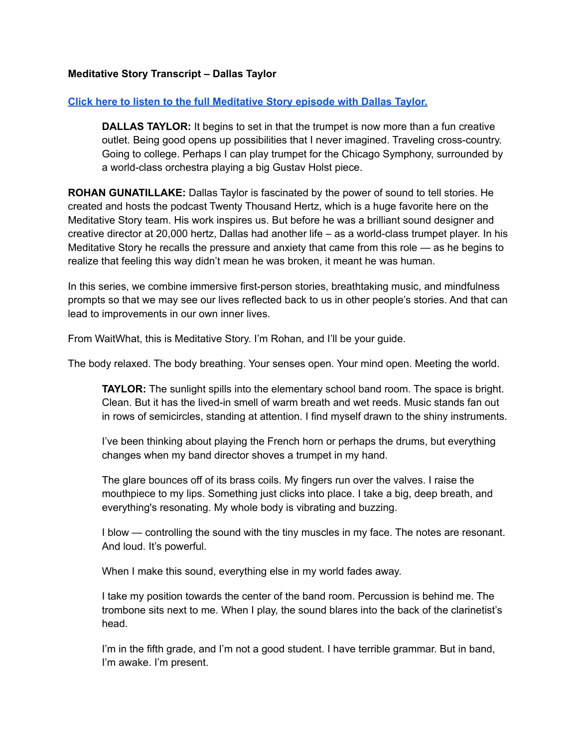## **Meditative Story Transcript – Dallas Taylor**

## **Click here to listen to the full [Meditative](https://listen.meditativestory.com/DallasTaylorPDF) Story episode with Dallas Taylor.**

**DALLAS TAYLOR:** It begins to set in that the trumpet is now more than a fun creative outlet. Being good opens up possibilities that I never imagined. Traveling cross-country. Going to college. Perhaps I can play trumpet for the Chicago Symphony, surrounded by a world-class orchestra playing a big Gustav Holst piece.

**ROHAN GUNATILLAKE:** Dallas Taylor is fascinated by the power of sound to tell stories. He created and hosts the podcast Twenty Thousand Hertz, which is a huge favorite here on the Meditative Story team. His work inspires us. But before he was a brilliant sound designer and creative director at 20,000 hertz, Dallas had another life – as a world-class trumpet player. In his Meditative Story he recalls the pressure and anxiety that came from this role — as he begins to realize that feeling this way didn't mean he was broken, it meant he was human.

In this series, we combine immersive first-person stories, breathtaking music, and mindfulness prompts so that we may see our lives reflected back to us in other people's stories. And that can lead to improvements in our own inner lives.

From WaitWhat, this is Meditative Story. I'm Rohan, and I'll be your guide.

The body relaxed. The body breathing. Your senses open. Your mind open. Meeting the world.

**TAYLOR:** The sunlight spills into the elementary school band room. The space is bright. Clean. But it has the lived-in smell of warm breath and wet reeds. Music stands fan out in rows of semicircles, standing at attention. I find myself drawn to the shiny instruments.

I've been thinking about playing the French horn or perhaps the drums, but everything changes when my band director shoves a trumpet in my hand.

The glare bounces off of its brass coils. My fingers run over the valves. I raise the mouthpiece to my lips. Something just clicks into place. I take a big, deep breath, and everything's resonating. My whole body is vibrating and buzzing.

I blow — controlling the sound with the tiny muscles in my face. The notes are resonant. And loud. It's powerful.

When I make this sound, everything else in my world fades away.

I take my position towards the center of the band room. Percussion is behind me. The trombone sits next to me. When I play, the sound blares into the back of the clarinetist's head.

I'm in the fifth grade, and I'm not a good student. I have terrible grammar. But in band, I'm awake. I'm present.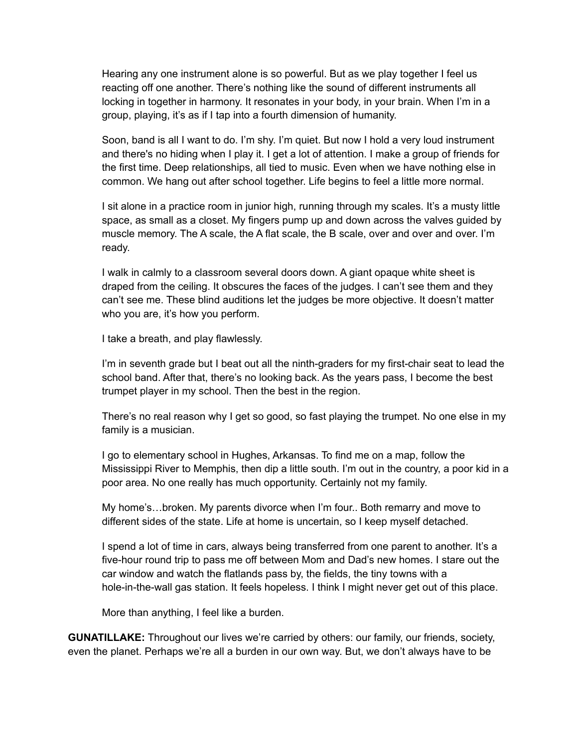Hearing any one instrument alone is so powerful. But as we play together I feel us reacting off one another. There's nothing like the sound of different instruments all locking in together in harmony. It resonates in your body, in your brain. When I'm in a group, playing, it's as if I tap into a fourth dimension of humanity.

Soon, band is all I want to do. I'm shy. I'm quiet. But now I hold a very loud instrument and there's no hiding when I play it. I get a lot of attention. I make a group of friends for the first time. Deep relationships, all tied to music. Even when we have nothing else in common. We hang out after school together. Life begins to feel a little more normal.

I sit alone in a practice room in junior high, running through my scales. It's a musty little space, as small as a closet. My fingers pump up and down across the valves guided by muscle memory. The A scale, the A flat scale, the B scale, over and over and over. I'm ready.

I walk in calmly to a classroom several doors down. A giant opaque white sheet is draped from the ceiling. It obscures the faces of the judges. I can't see them and they can't see me. These blind auditions let the judges be more objective. It doesn't matter who you are, it's how you perform.

I take a breath, and play flawlessly.

I'm in seventh grade but I beat out all the ninth-graders for my first-chair seat to lead the school band. After that, there's no looking back. As the years pass, I become the best trumpet player in my school. Then the best in the region.

There's no real reason why I get so good, so fast playing the trumpet. No one else in my family is a musician.

I go to elementary school in Hughes, Arkansas. To find me on a map, follow the Mississippi River to Memphis, then dip a little south. I'm out in the country, a poor kid in a poor area. No one really has much opportunity. Certainly not my family.

My home's…broken. My parents divorce when I'm four.. Both remarry and move to different sides of the state. Life at home is uncertain, so I keep myself detached.

I spend a lot of time in cars, always being transferred from one parent to another. It's a five-hour round trip to pass me off between Mom and Dad's new homes. I stare out the car window and watch the flatlands pass by, the fields, the tiny towns with a hole-in-the-wall gas station. It feels hopeless. I think I might never get out of this place.

More than anything, I feel like a burden.

**GUNATILLAKE:** Throughout our lives we're carried by others: our family, our friends, society, even the planet. Perhaps we're all a burden in our own way. But, we don't always have to be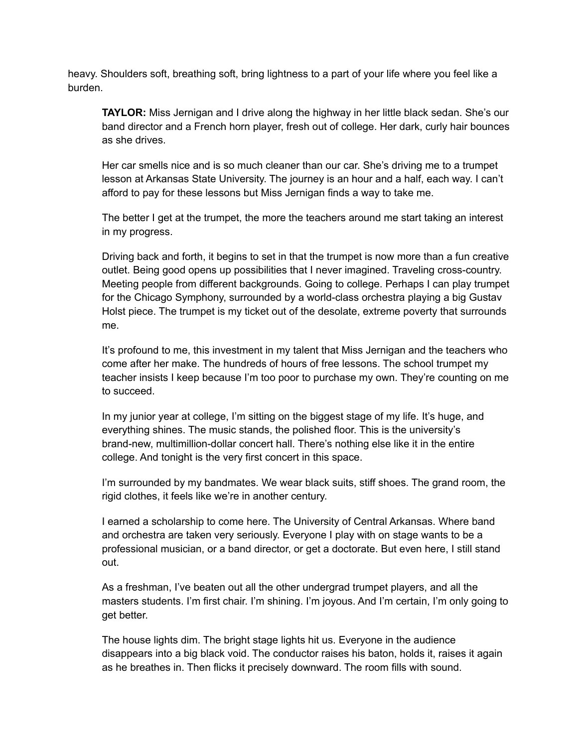heavy. Shoulders soft, breathing soft, bring lightness to a part of your life where you feel like a burden.

**TAYLOR:** Miss Jernigan and I drive along the highway in her little black sedan. She's our band director and a French horn player, fresh out of college. Her dark, curly hair bounces as she drives.

Her car smells nice and is so much cleaner than our car. She's driving me to a trumpet lesson at Arkansas State University. The journey is an hour and a half, each way. I can't afford to pay for these lessons but Miss Jernigan finds a way to take me.

The better I get at the trumpet, the more the teachers around me start taking an interest in my progress.

Driving back and forth, it begins to set in that the trumpet is now more than a fun creative outlet. Being good opens up possibilities that I never imagined. Traveling cross-country. Meeting people from different backgrounds. Going to college. Perhaps I can play trumpet for the Chicago Symphony, surrounded by a world-class orchestra playing a big Gustav Holst piece. The trumpet is my ticket out of the desolate, extreme poverty that surrounds me.

It's profound to me, this investment in my talent that Miss Jernigan and the teachers who come after her make. The hundreds of hours of free lessons. The school trumpet my teacher insists I keep because I'm too poor to purchase my own. They're counting on me to succeed.

In my junior year at college, I'm sitting on the biggest stage of my life. It's huge, and everything shines. The music stands, the polished floor. This is the university's brand-new, multimillion-dollar concert hall. There's nothing else like it in the entire college. And tonight is the very first concert in this space.

I'm surrounded by my bandmates. We wear black suits, stiff shoes. The grand room, the rigid clothes, it feels like we're in another century.

I earned a scholarship to come here. The University of Central Arkansas. Where band and orchestra are taken very seriously. Everyone I play with on stage wants to be a professional musician, or a band director, or get a doctorate. But even here, I still stand out.

As a freshman, I've beaten out all the other undergrad trumpet players, and all the masters students. I'm first chair. I'm shining. I'm joyous. And I'm certain, I'm only going to get better.

The house lights dim. The bright stage lights hit us. Everyone in the audience disappears into a big black void. The conductor raises his baton, holds it, raises it again as he breathes in. Then flicks it precisely downward. The room fills with sound.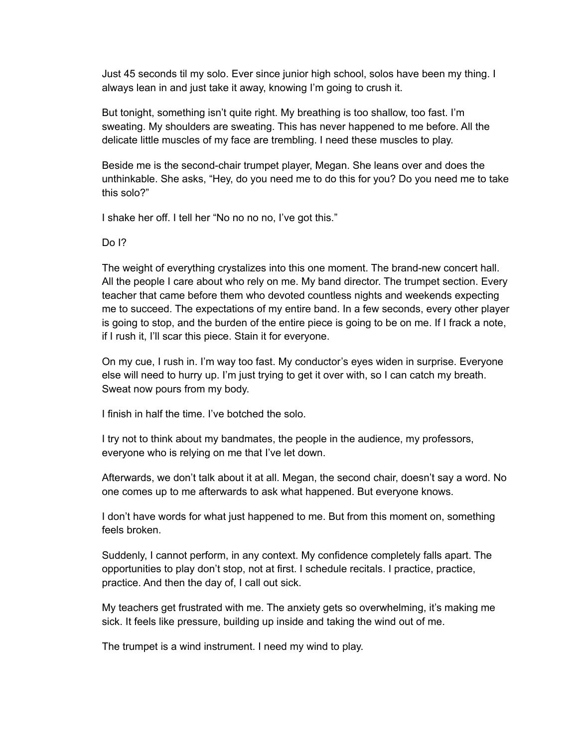Just 45 seconds til my solo. Ever since junior high school, solos have been my thing. I always lean in and just take it away, knowing I'm going to crush it.

But tonight, something isn't quite right. My breathing is too shallow, too fast. I'm sweating. My shoulders are sweating. This has never happened to me before. All the delicate little muscles of my face are trembling. I need these muscles to play.

Beside me is the second-chair trumpet player, Megan. She leans over and does the unthinkable. She asks, "Hey, do you need me to do this for you? Do you need me to take this solo?"

I shake her off. I tell her "No no no no, I've got this."

Do I?

The weight of everything crystalizes into this one moment. The brand-new concert hall. All the people I care about who rely on me. My band director. The trumpet section. Every teacher that came before them who devoted countless nights and weekends expecting me to succeed. The expectations of my entire band. In a few seconds, every other player is going to stop, and the burden of the entire piece is going to be on me. If I frack a note, if I rush it, I'll scar this piece. Stain it for everyone.

On my cue, I rush in. I'm way too fast. My conductor's eyes widen in surprise. Everyone else will need to hurry up. I'm just trying to get it over with, so I can catch my breath. Sweat now pours from my body.

I finish in half the time. I've botched the solo.

I try not to think about my bandmates, the people in the audience, my professors, everyone who is relying on me that I've let down.

Afterwards, we don't talk about it at all. Megan, the second chair, doesn't say a word. No one comes up to me afterwards to ask what happened. But everyone knows.

I don't have words for what just happened to me. But from this moment on, something feels broken.

Suddenly, I cannot perform, in any context. My confidence completely falls apart. The opportunities to play don't stop, not at first. I schedule recitals. I practice, practice, practice. And then the day of, I call out sick.

My teachers get frustrated with me. The anxiety gets so overwhelming, it's making me sick. It feels like pressure, building up inside and taking the wind out of me.

The trumpet is a wind instrument. I need my wind to play.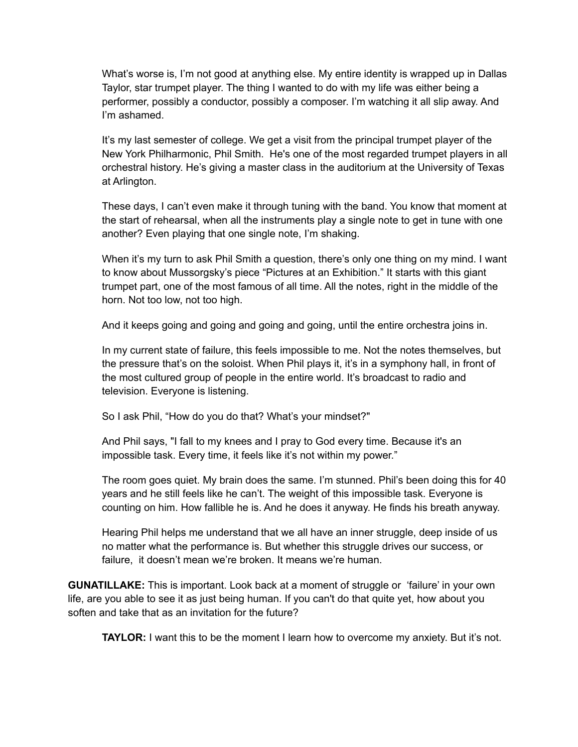What's worse is, I'm not good at anything else. My entire identity is wrapped up in Dallas Taylor, star trumpet player. The thing I wanted to do with my life was either being a performer, possibly a conductor, possibly a composer. I'm watching it all slip away. And I'm ashamed.

It's my last semester of college. We get a visit from the principal trumpet player of the New York Philharmonic, Phil Smith. He's one of the most regarded trumpet players in all orchestral history. He's giving a master class in the auditorium at the University of Texas at Arlington.

These days, I can't even make it through tuning with the band. You know that moment at the start of rehearsal, when all the instruments play a single note to get in tune with one another? Even playing that one single note, I'm shaking.

When it's my turn to ask Phil Smith a question, there's only one thing on my mind. I want to know about Mussorgsky's piece "Pictures at an Exhibition." It starts with this giant trumpet part, one of the most famous of all time. All the notes, right in the middle of the horn. Not too low, not too high.

And it keeps going and going and going and going, until the entire orchestra joins in.

In my current state of failure, this feels impossible to me. Not the notes themselves, but the pressure that's on the soloist. When Phil plays it, it's in a symphony hall, in front of the most cultured group of people in the entire world. It's broadcast to radio and television. Everyone is listening.

So I ask Phil, "How do you do that? What's your mindset?"

And Phil says, "I fall to my knees and I pray to God every time. Because it's an impossible task. Every time, it feels like it's not within my power."

The room goes quiet. My brain does the same. I'm stunned. Phil's been doing this for 40 years and he still feels like he can't. The weight of this impossible task. Everyone is counting on him. How fallible he is. And he does it anyway. He finds his breath anyway.

Hearing Phil helps me understand that we all have an inner struggle, deep inside of us no matter what the performance is. But whether this struggle drives our success, or failure, it doesn't mean we're broken. It means we're human.

**GUNATILLAKE:** This is important. Look back at a moment of struggle or 'failure' in your own life, are you able to see it as just being human. If you can't do that quite yet, how about you soften and take that as an invitation for the future?

**TAYLOR:** I want this to be the moment I learn how to overcome my anxiety. But it's not.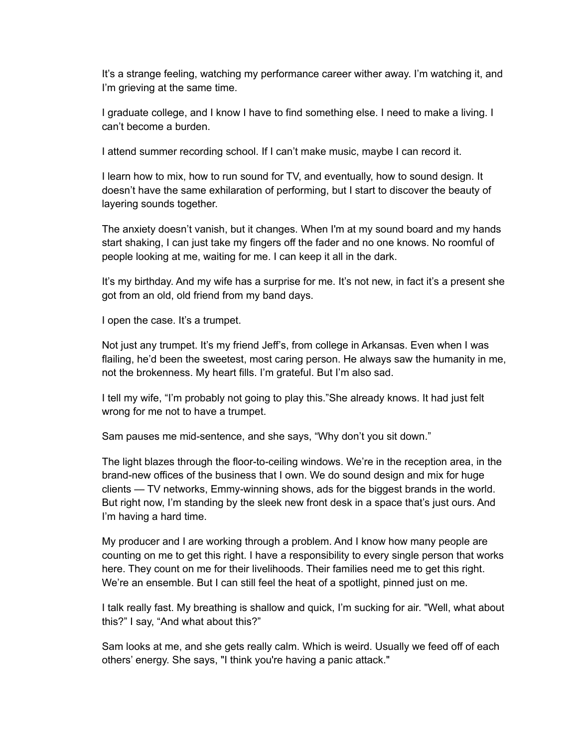It's a strange feeling, watching my performance career wither away. I'm watching it, and I'm grieving at the same time.

I graduate college, and I know I have to find something else. I need to make a living. I can't become a burden.

I attend summer recording school. If I can't make music, maybe I can record it.

I learn how to mix, how to run sound for TV, and eventually, how to sound design. It doesn't have the same exhilaration of performing, but I start to discover the beauty of layering sounds together.

The anxiety doesn't vanish, but it changes. When I'm at my sound board and my hands start shaking, I can just take my fingers off the fader and no one knows. No roomful of people looking at me, waiting for me. I can keep it all in the dark.

It's my birthday. And my wife has a surprise for me. It's not new, in fact it's a present she got from an old, old friend from my band days.

I open the case. It's a trumpet.

Not just any trumpet. It's my friend Jeff's, from college in Arkansas. Even when I was flailing, he'd been the sweetest, most caring person. He always saw the humanity in me, not the brokenness. My heart fills. I'm grateful. But I'm also sad.

I tell my wife, "I'm probably not going to play this."She already knows. It had just felt wrong for me not to have a trumpet.

Sam pauses me mid-sentence, and she says, "Why don't you sit down."

The light blazes through the floor-to-ceiling windows. We're in the reception area, in the brand-new offices of the business that I own. We do sound design and mix for huge clients — TV networks, Emmy-winning shows, ads for the biggest brands in the world. But right now, I'm standing by the sleek new front desk in a space that's just ours. And I'm having a hard time.

My producer and I are working through a problem. And I know how many people are counting on me to get this right. I have a responsibility to every single person that works here. They count on me for their livelihoods. Their families need me to get this right. We're an ensemble. But I can still feel the heat of a spotlight, pinned just on me.

I talk really fast. My breathing is shallow and quick, I'm sucking for air. "Well, what about this?" I say, "And what about this?"

Sam looks at me, and she gets really calm. Which is weird. Usually we feed off of each others' energy. She says, "I think you're having a panic attack."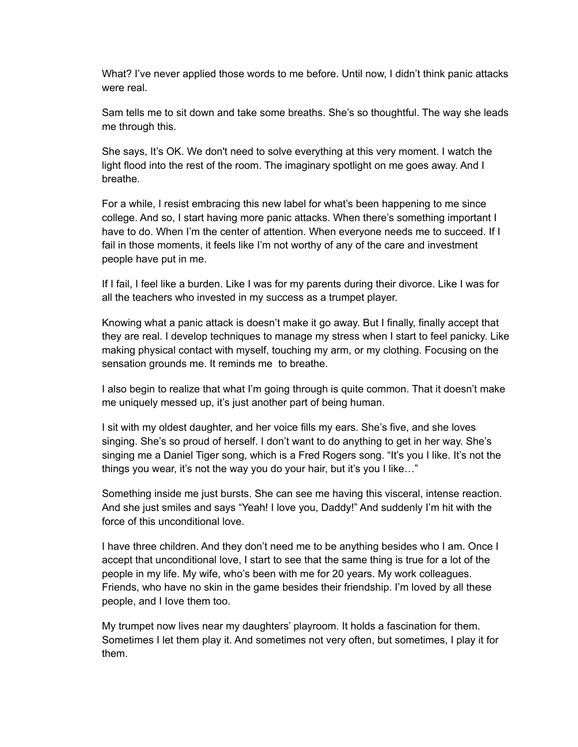What? I've never applied those words to me before. Until now, I didn't think panic attacks were real.

Sam tells me to sit down and take some breaths. She's so thoughtful. The way she leads me through this.

She says, It's OK. We don't need to solve everything at this very moment. I watch the light flood into the rest of the room. The imaginary spotlight on me goes away. And I breathe.

For a while, I resist embracing this new label for what's been happening to me since college. And so, I start having more panic attacks. When there's something important I have to do. When I'm the center of attention. When everyone needs me to succeed. If I fail in those moments, it feels like I'm not worthy of any of the care and investment people have put in me.

If I fail, I feel like a burden. Like I was for my parents during their divorce. Like I was for all the teachers who invested in my success as a trumpet player.

Knowing what a panic attack is doesn't make it go away. But I finally, finally accept that they are real. I develop techniques to manage my stress when I start to feel panicky. Like making physical contact with myself, touching my arm, or my clothing. Focusing on the sensation grounds me. It reminds me to breathe.

I also begin to realize that what I'm going through is quite common. That it doesn't make me uniquely messed up, it's just another part of being human.

I sit with my oldest daughter, and her voice fills my ears. She's five, and she loves singing. She's so proud of herself. I don't want to do anything to get in her way. She's singing me a Daniel Tiger song, which is a Fred Rogers song. "It's you I like. It's not the things you wear, it's not the way you do your hair, but it's you I like…"

Something inside me just bursts. She can see me having this visceral, intense reaction. And she just smiles and says "Yeah! I love you, Daddy!" And suddenly I'm hit with the force of this unconditional love.

I have three children. And they don't need me to be anything besides who I am. Once I accept that unconditional love, I start to see that the same thing is true for a lot of the people in my life. My wife, who's been with me for 20 years. My work colleagues. Friends, who have no skin in the game besides their friendship. I'm loved by all these people, and I Iove them too.

My trumpet now lives near my daughters' playroom. It holds a fascination for them. Sometimes I let them play it. And sometimes not very often, but sometimes, I play it for them.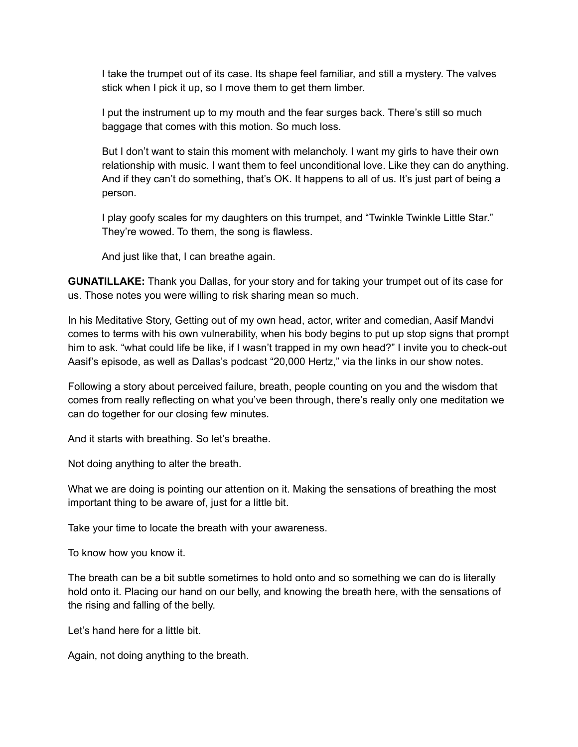I take the trumpet out of its case. Its shape feel familiar, and still a mystery. The valves stick when I pick it up, so I move them to get them limber.

I put the instrument up to my mouth and the fear surges back. There's still so much baggage that comes with this motion. So much loss.

But I don't want to stain this moment with melancholy. I want my girls to have their own relationship with music. I want them to feel unconditional love. Like they can do anything. And if they can't do something, that's OK. It happens to all of us. It's just part of being a person.

I play goofy scales for my daughters on this trumpet, and "Twinkle Twinkle Little Star." They're wowed. To them, the song is flawless.

And just like that, I can breathe again.

**GUNATILLAKE:** Thank you Dallas, for your story and for taking your trumpet out of its case for us. Those notes you were willing to risk sharing mean so much.

In his Meditative Story, Getting out of my own head, actor, writer and comedian, Aasif Mandvi comes to terms with his own vulnerability, when his body begins to put up stop signs that prompt him to ask. "what could life be like, if I wasn't trapped in my own head?" I invite you to check-out Aasif's episode, as well as Dallas's podcast "20,000 Hertz," via the links in our show notes.

Following a story about perceived failure, breath, people counting on you and the wisdom that comes from really reflecting on what you've been through, there's really only one meditation we can do together for our closing few minutes.

And it starts with breathing. So let's breathe.

Not doing anything to alter the breath.

What we are doing is pointing our attention on it. Making the sensations of breathing the most important thing to be aware of, just for a little bit.

Take your time to locate the breath with your awareness.

To know how you know it.

The breath can be a bit subtle sometimes to hold onto and so something we can do is literally hold onto it. Placing our hand on our belly, and knowing the breath here, with the sensations of the rising and falling of the belly.

Let's hand here for a little bit.

Again, not doing anything to the breath.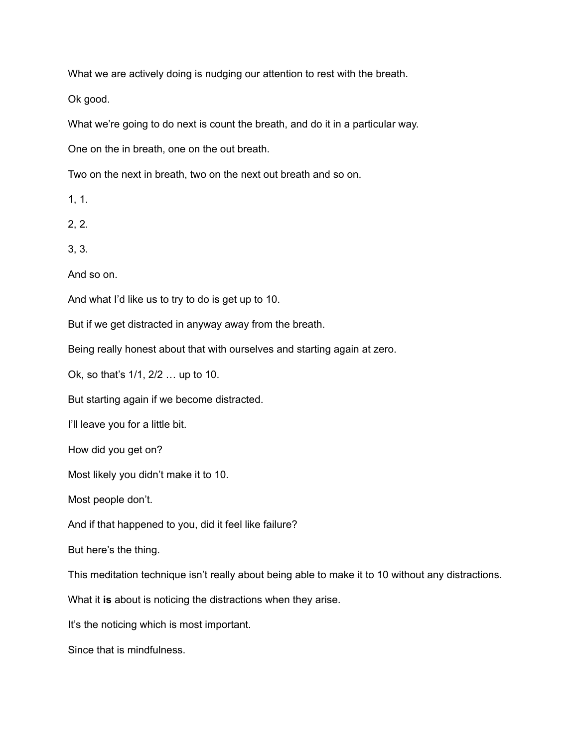What we are actively doing is nudging our attention to rest with the breath.

Ok good.

What we're going to do next is count the breath, and do it in a particular way.

One on the in breath, one on the out breath.

Two on the next in breath, two on the next out breath and so on.

1, 1.

2, 2.

3, 3.

And so on.

And what I'd like us to try to do is get up to 10.

But if we get distracted in anyway away from the breath.

Being really honest about that with ourselves and starting again at zero.

Ok, so that's 1/1, 2/2 … up to 10.

But starting again if we become distracted.

I'll leave you for a little bit.

How did you get on?

Most likely you didn't make it to 10.

Most people don't.

And if that happened to you, did it feel like failure?

But here's the thing.

This meditation technique isn't really about being able to make it to 10 without any distractions.

What it **is** about is noticing the distractions when they arise.

It's the noticing which is most important.

Since that is mindfulness.